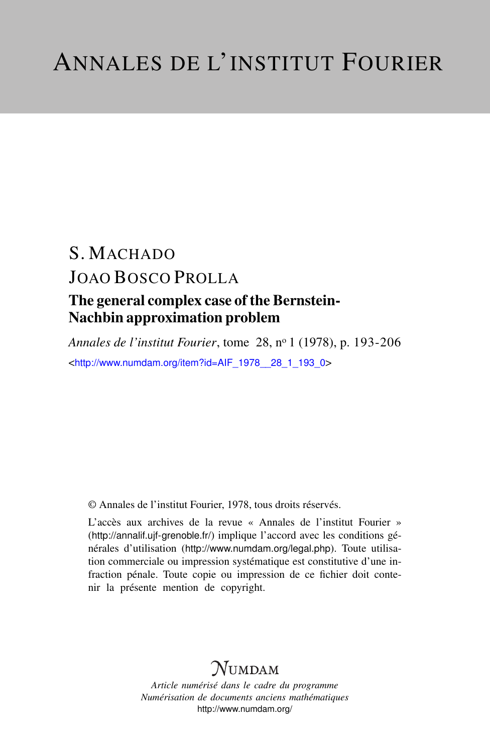# S. MACHADO JOAO BOSCO PROLLA

# The general complex case of the Bernstein-Nachbin approximation problem

*Annales de l'institut Fourier*, tome 28, n<sup>o</sup> 1 (1978), p. 193-206 <[http://www.numdam.org/item?id=AIF\\_1978\\_\\_28\\_1\\_193\\_0](http://www.numdam.org/item?id=AIF_1978__28_1_193_0)>

© Annales de l'institut Fourier, 1978, tous droits réservés.

L'accès aux archives de la revue « Annales de l'institut Fourier » (<http://annalif.ujf-grenoble.fr/>) implique l'accord avec les conditions générales d'utilisation (<http://www.numdam.org/legal.php>). Toute utilisation commerciale ou impression systématique est constitutive d'une infraction pénale. Toute copie ou impression de ce fichier doit contenir la présente mention de copyright.

# NUMDAM

*Article numérisé dans le cadre du programme Numérisation de documents anciens mathématiques* <http://www.numdam.org/>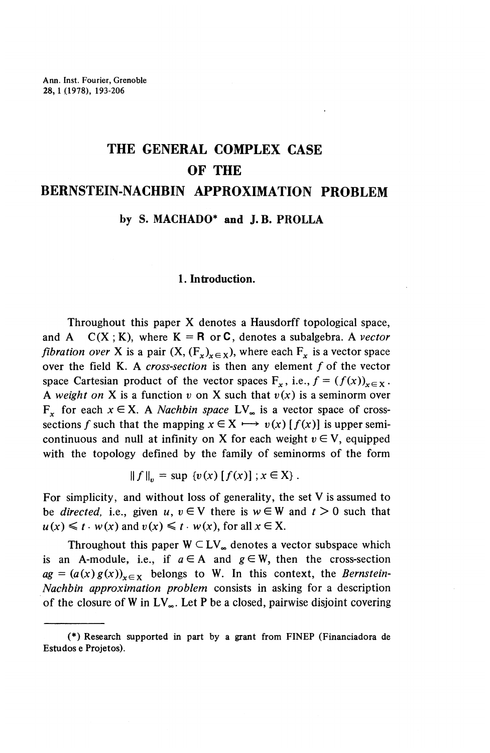# **THE GENERAL COMPLEX CASE OF THE**

# **BERNSTEIN-NACHBIN APPROXIMATION PROBLEM**

### **by S. MACHADO\* and J. B. PROLLA**

#### **1. Introduction.**

Throughout this paper X denotes a Hausdorff topological space, and  $A$   $C(X ; K)$ , where  $K = R$  or  $C$ , denotes a subalgebra. A *vector fibration over* X is a pair  $(X, (F_x)_{x \in X})$ , where each  $F_x$  is a vector space over the field K. A *cross-section* is then any element f of the vector space Cartesian product of the vector spaces  $F_x$ , i.e.,  $f = (f(x))_{x \in X}$ . A weight on X is a function  $v$  on X such that  $v(x)$  is a seminorm over F<sub>x</sub> for each  $x \in X$ . A *Nachbin space* LV<sub>∞</sub> is a vector space of cross- $\mathbf{r}_x$  for each  $x \in \mathbb{R}$ . A *i*vachiom space  $\mathbb{L}\mathbf{v}_\infty$  is a vector space of cross-<br>sections f such that the mapping  $x \in \mathbb{X} \longrightarrow v(x) [f(x)]$  is upper semicontinuous and null at infinity on X for each weight  $v \in V$ , equipped with the topology defined by the family of seminorms of the form

$$
|| f ||_p = \sup \{ v(x) [ f(x) ] ; x \in X \}.
$$

For simplicity, and without loss of generality, the set V is assumed to be *directed*, i.e., given  $u, v \in V$  there is  $w \in W$  and  $t > 0$  such that  $u(x) \leq t \cdot w(x)$  and  $v(x) \leq t \cdot w(x)$ , for all  $x \in X$ .

Throughout this paper  $W \subset LV_{\infty}$  denotes a vector subspace which is an A-module, i.e., if  $a \in A$  and  $g \in W$ , then the cross-section  $ag = (a(x)g(x))_{x \in X}$  belongs to W. In this context, the *Bernstein-Nachbin approximation problem* consists in asking for a description of the closure of W in  $LV_{\infty}$ . Let P be a closed, pairwise disjoint covering

<sup>(\*)</sup> Research supported in part by a grant from FINEP (Financiadora de Estudos e Projetos).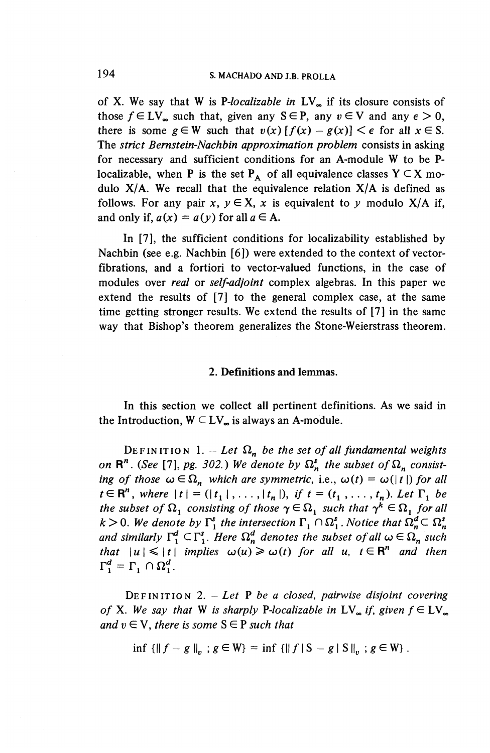of X. We say that W is *f-localizable in* LV^ if its closure consists of those  $f \in LV_{\infty}$  such that, given any  $S \in P$ , any  $v \in V$  and any  $\epsilon > 0$ , there is some  $g \in W$  such that  $v(x) [f(x) - g(x)] < \epsilon$  for all  $x \in S$ . The *strict Bernstein-Nachbin approximation problem* consists in asking for necessary and sufficient conditions for an A-module W to be Plocalizable, when P is the set  $P_A$  of all equivalence classes  $Y \subset X$  modulo  $X/A$ . We recall that the equivalence relation  $X/A$  is defined as follows. For any pair  $x, y \in X$ , x is equivalent to y modulo  $X/A$  if, and only if,  $a(x) = a(y)$  for all  $a \in A$ .

In [7], the sufficient conditions for localizability established by Nachbin (see e.g. Nachbin  $[6]$ ) were extended to the context of vectorfibrations, and a fortiori to vector-valued functions, in the case of modules over *real* or *self-adjoint* complex algebras. In this paper we extend the results of [7] to the general complex case, at the same time getting stronger results. We extend the results of [7] in the same way that Bishop's theorem generalizes the Stone-Weierstrass theorem.

#### **2. Definitions and lemmas.**

In this section we collect all pertinent definitions. As we said in the Introduction,  $W \subset LV_{\infty}$  is always an A-module.

DEFINITION 1. - Let  $\Omega_n$  be the set of all fundamental weights *on*  $\mathbb{R}^n$ . (See [7], pg. 302.) We denote by  $\Omega_n^s$  the subset of  $\Omega_n$  consist*ing of those*  $\omega \in \Omega_n$  *which are symmetric, i.e.,*  $\omega(t) = \omega(|t|)$  *for all*  $t \in \mathbb{R}^n$ , where  $|t| = (|t_1|, \ldots, |t_n|)$ , if  $t = (t_1, \ldots, t_n)$ . Let  $\Gamma_1$  be *the subset of*  $\Omega_1$  *consisting of those*  $\gamma \in \Omega_1$  *such that*  $\gamma^k \in \Omega_1$  *for all*  $k > 0$ . We denote by  $\Gamma_1^s$  the intersection  $\Gamma_1 \cap \Omega_1^s$ . Notice that  $\Omega_n^d \subset \Omega_n^s$ *and similarly*  $\Gamma^d_i \subset \Gamma^s_i$ . Here  $\Omega^d_n$  denotes the subset of all  $\omega \in \Omega_n$  such *that*  $|u|\leqslant |t|$  *implies*  $\omega(u)\geqslant \omega(t)$  for all u,  $t\in\mathbb{R}^n$  and then  $\Gamma_1^d = \Gamma_1 \cap \Omega_1^d$ .

DEFINITIO N 2. — *Let P be a closed, pairwise disjoint covering of* X. We say that W is sharply P-localizable in  $LV_{\infty}$  if, given  $f \in LV_{\infty}$ *and*  $v \in V$ *, there is some*  $S \in P$  *such that* 

$$
\inf \{ \|f - g\|_{v} \; ; \; g \in W \} = \inf \{ \|f\|S - g\|S\|_{v} \; ; \; g \in W \} \; .
$$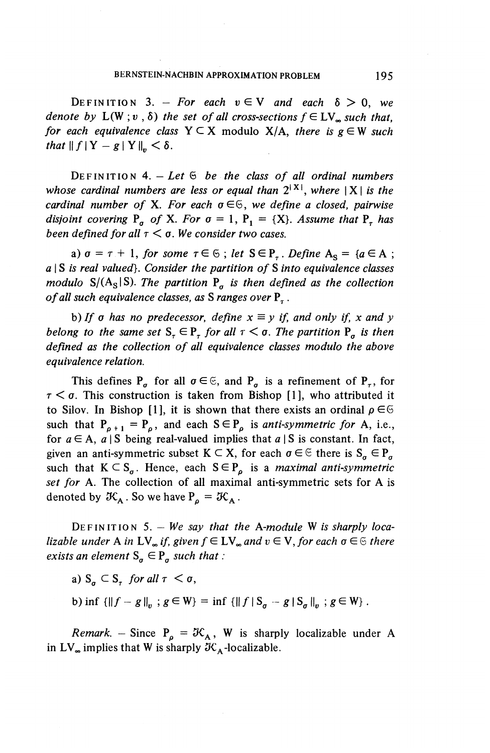DEFINITION 3. – For each  $v \in V$  and each  $\delta > 0$ , we *denote by*  $L(W; v, \delta)$  *the set of all cross-sections*  $f \in LV$ <sub>*m</sub> such that,*</sub> *for each equivalence class*  $Y \subseteq X$  modulo  $X/A$ *, there is*  $g \in W$  *such that*  $\|f\|Y-g\|Y\|_{n} < \delta$ .

DEFINITIO N 4. — *Let* 6 *be the class of all ordinal numbers whose cardinal numbers are less or equal than*  $2^{|X|}$ *, where*  $|X|$  *is the cardinal number of* X. For each  $\sigma \in \mathbb{S}$ , we define a closed, pairwise *disjoint covering*  $P_a$  *of* X. For  $\sigma = 1$ ,  $P_1 = \{X\}$ . Assume that  $P_a$  has *been defined for all*  $\tau < \sigma$ *. We consider two cases.* 

a)  $\sigma = \tau + 1$ , for some  $\tau \in \mathfrak{S}$ ; let  $S \in P_{\tau}$ . Define  $A_S = \{a \in A$ ; a I S *is real valued}. Consider the partition of* S *into equivalence classes modulo* S/ $(A<sub>S</sub>|S)$ *. The partition*  $P<sub>a</sub>$  *is then defined as the collection of all such equivalence classes, as* S *ranges over* P^ .

b) If  $\sigma$  has no predecessor, define  $x \equiv y$  if, and only if, x and y *belong to the same set*  $S_{\tau} \in P_{\tau}$  *for all*  $\tau < \sigma$ *. The partition*  $P_{\sigma}$  *is then defined as the collection of all equivalence classes modulo the above equivalence relation.*

This defines  $P_q$  for all  $\sigma \in \mathfrak{S}$ , and  $P_q$  is a refinement of  $P_q$ , for  $\tau < \sigma$ . This construction is taken from Bishop [1], who attributed it to Silov. In Bishop [1], it is shown that there exists an ordinal  $\rho \in \mathfrak{S}$ such that  $P_{\rho+1} = P_{\rho}$ , and each  $S \in P_{\rho}$  is *anti-symmetric for* A, i.e. for  $a \in A$ ,  $a \mid S$  being real-valued implies that  $a \mid S$  is constant. In fact, given an anti-symmetric subset  $K \subset X$ , for each  $\sigma \in \mathfrak{S}$  there is  $S_{\sigma} \in P_{\sigma}$ such that  $K \subset S_q$ . Hence, each  $S \in P_q$  is a *maximal anti-symmetric set for* A. The collection of all maximal anti-symmetric sets for A is denoted by  $\mathcal{K}_A$ . So we have  $P_a = \mathcal{K}_A$ .

DEFINITIO N 5. - *We say that the A-module* W *is sharply localizable under* A *in*  $LV_{\infty}$  *if, given*  $f \in LV_{\infty}$  *and*  $v \in V$ *, for each*  $\sigma \in \mathcal{F}$  *there exists an element*  $S_q \in P_q$  *such that :* 

a)  $S_a \subset S_a$  *for all*  $\tau < \sigma$ ,

b) inf  $\{||f-g||_{v}$ ;  $g \in W\}$  = inf  $\{||f|S_{\sigma}-g|S_{\sigma}||_{v}$ ;  $g \in W\}$ .

*Remark.* - Since  $P_{\rho} = \mathcal{K}_{A}$ , W is sharply localizable under A in  $LV_{\infty}$  implies that W is sharply  $\mathcal{K}_{A}$ -localizable.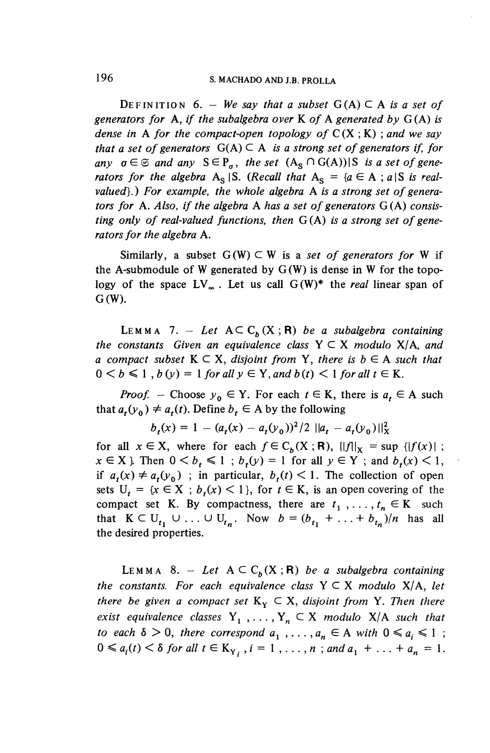DEFINITION 6. - We say that a subset  $G(A) \subset A$  is a set of *generators for* A, *if the subalgebra over* K *of* A *generated by* G(A) *is dense in* A for the compact-open topology of  $C(X; K)$ ; and we say *that a set of generators*  $G(A) \subseteq A$  *is a strong set of generators if, for* any  $\sigma \in \mathfrak{S}$  and any  $S \in P_\sigma$ , the set  $(A_S \cap G(A))| S$  is a set of gene*rators for the algebra*  $A_S |S$ . (*Recall that*  $A_S = \{a \in A : a | S \text{ is real-}$ *valued}.) For example, the whole algebra* A *is a strong set of generators for* A. *Also, if the algebra* A *has a set of generators* G(A) *consisting only of real-valued functions, then* G(A) *is a strong set of generators for the algebra* A.

Similarly, a subset  $G(W) \subset W$  is a set of generators for W if the A-submodule of W generated by  $G(W)$  is dense in W for the topology of the space  $LV_{\infty}$ . Let us call  $G(W)^*$  the *real* linear span of G(W).

LEMMA 7. - Let  $A \subset C_h(X;R)$  be a subalgebra containing *the constants Given an equivalence class* Y C X *modulo X/A, and a* compact subset  $K \subset X$ , disjoint from Y, there is  $b \in A$  such that  $0 < b \leq 1$ ,  $b(y) = 1$  for all  $y \in Y$ , and  $b(t) < 1$  for all  $t \in K$ .

*Proof.* – Choose  $y_0 \in Y$ . For each  $t \in K$ , there is  $a_t \in A$  such  $1700J$ . - Choose  $y_0 \in I$ . For each  $t \in K$ ,<br>that  $a_r(y_0) \neq a_r(t)$ . Define  $b_r \in A$  by the following

$$
\psi \neq a_t(t)
$$
. Define  $b_t \in A$  by the following  

$$
b_t(x) = 1 - (a_t(x) - a_t(y_0))^2 / 2 ||a_t - a_t(y_0)||_X^2
$$

for all  $x \in X$ , where for each  $f \in C_b(X; R)$ ,  $||f||_X = \sup |f(x)|$ ;  $x \in X$  } Then  $0 \le b_t \le 1$ ;  $b_t(y) = 1$  for all  $y \in Y$ ; and  $b_t(x) \le 1$ , if  $a_t(x) \neq a_t(y_0)$ ; in particular,  $b_t(t) \leq 1$ . The collection of open sets  $U_t = \{x \in X : b_t(x) \leq 1\}$ , for  $t \in K$ , is an open covering of the compact set K. By compactness, there are  $t_1, \ldots, t_n \in K$  such that  $K \subset U_{t_1} \cup ... \cup U_{t_n}$ . Now  $b = (b_{t_1} + ... + b_{t_n})/n$  has all the desired properties.

LEMMA 8. - Let  $A \subseteq C_b(X;R)$  be a subalgebra containing *the constants. For each equivalence class*  $Y \subseteq X$  *modulo*  $X/A$ *, let there be given a compact set*  $K_Y \subset X$ *, disjoint from* Y. Then there *exist equivalence classes*  $Y_1$ , ...,  $Y_n \subset X$  *modulo*  $X/A$  *such that to each*  $\delta > 0$ *, there correspond*  $a_1$ ,..., $a_n \in A$  *with*  $0 \le a_i \le 1$ ;  $0 \le a_i(t) \le \delta$  for all  $t \in K_{Y_i}$ ,  $i = 1, ..., n$ ; and  $a_1 + ... + a_n = 1$ .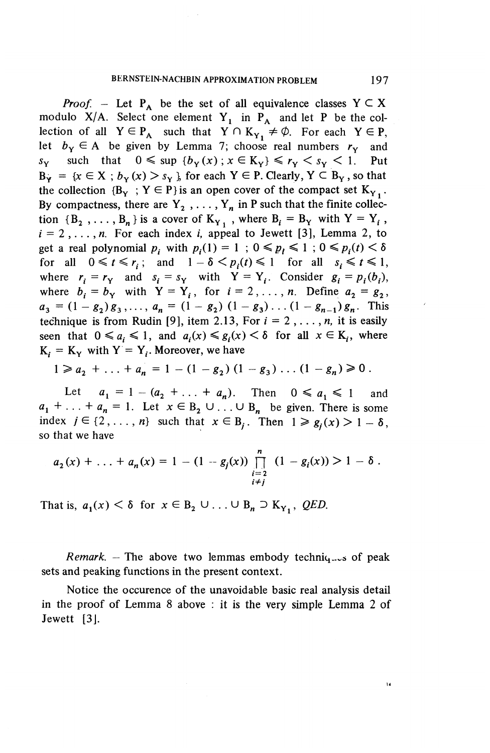*Proof.* – Let  $P_A$  be the set of all equivalence classes  $Y \subseteq X$ modulo  $X/A$ . Select one element  $Y_1$  in  $P_A$  and let P be the collection of all  $Y \in P_A$  such that  $Y \cap K_{Y_1} \neq \emptyset$ . For each  $Y \in P$ , let  $b_y \in A$  be given by Lemma 7; choose real numbers  $r_y$  and  $s_Y$  such that  $0 \leq \sup \{b_Y(x) : x \in K_Y\} \leq r_Y \leq s_Y \leq 1$ . Put  $B_Y = \{x \in X : b_Y(x) > s_Y \}$ , for each  $Y \in P$ . Clearly,  $Y \subset B_Y$ , so that the collection  ${B_v : Y \in P}$  is an open cover of the compact set  $K_v$ . By compactness, there are  $Y_2$ , ...,  $Y_n$  in P such that the finite collection  ${B_2, \ldots, B_n}$  is a cover of  $K_{Y_1}$ , where  $B_i = B_Y$  with  $Y = Y_i$ ,  $i = 2, \ldots, n$ . For each index *i*, appeal to Jewett [3], Lemma 2, to get a real polynomial  $p_i$  with  $p_i(1) = 1$ ;  $0 \leq p_i \leq 1$ ;  $0 \leq p_i(t) < \delta$ for all  $0 \leq t \leq r_i$ ; and  $1 - \delta \leq p_i(t) \leq 1$  for all  $s_i \leq t \leq 1$ , where  $r_i = r_y$  and  $s_i = s_y$  with  $Y = Y_i$ . Consider  $g_i = p_i(b_i)$ , where  $b_i = b_y$  with  $Y = Y_i$ , for  $i = 2, \ldots, n$ . Define  $a_2 = g_2$ ,  $a_3 = (1 - g_2)g_3,\ldots, a_n = (1 - g_2) (1 - g_3) \ldots (1 - g_{n-1})g_n$ . This technique is from Rudin [9], item 2.13, For  $i = 2, \ldots, n$ , it is easily seen that  $0 \le a_i \le 1$ , and  $a_i(x) \le g_i(x) < \delta$  for all  $x \in K_i$ , where  $K_i = K_Y$  with  $Y = Y_i$ . Moreover, we have

$$
1 \geq a_2 + \ldots + a_n = 1 - (1 - g_2) (1 - g_3) \ldots (1 - g_n) \geq 0.
$$

Let  $a_1 = 1 - (a_2 + \ldots + a_n)$ . Then  $0 \le a_1 \le 1$  and  $a_1 + \ldots + a_n = 1$ . Let  $x \in B_2 \cup \ldots \cup B_n$  be given. There is som index  $j \in \{2, ..., n\}$  such that  $x \in B_j$ . Then  $1 \ge g_i(x) > 1 - \delta$ , so that we have

$$
a_2(x) + \ldots + a_n(x) = 1 - (1 - g_j(x)) \prod_{\substack{i=2 \\ i \neq j}}^n (1 - g_i(x)) > 1 - \delta.
$$

That is,  $a_1(x) < \delta$  for  $x \in B_2 \cup ... \cup B_n \supset K_{Y_1}$ , *QED*.

*Remark.* – The above two lemmas embody techniq... of peak sets and peaking functions in the present context.

Notice the occurence of the unavoidable basic real analysis detail in the proof of Lemma 8 above : it is the very simple Lemma 2 of Jewett [3].

 $\overline{14}$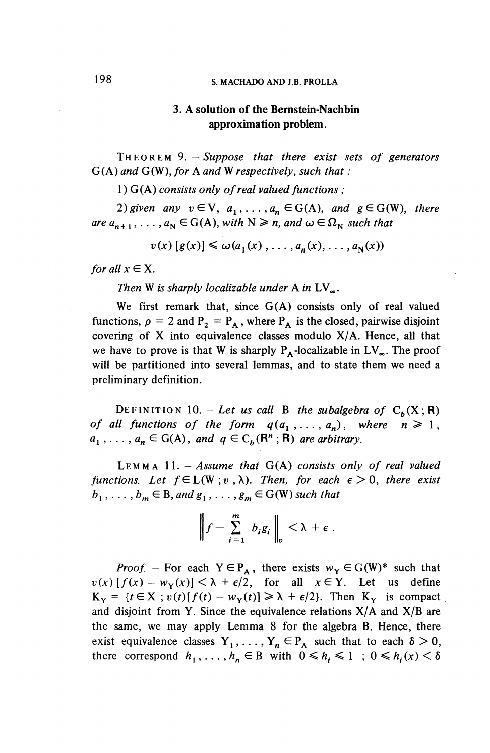# **198 § MACHADO AND J.B. PROLLA**

# **3. A solution of the Bemstein-Nachbin approximation problem.**

THEORE M 9. *—Suppose that there exist sets of generators* G(A) *and* G(W), *for* A *and* W *respectively, such that :*

1) G(A) *consists only of real valued functions* ;

*2) given any*  $v \in V$ ,  $a_1, \ldots, a_n \in G(A)$ , and  $g \in G(W)$ , there are  $a_{n+1}$ , ...,  $a_N \in G(A)$ , with  $N \geq n$ , and  $\omega \in \Omega_N$  such that

 $v(x) [g(x)] \leq \omega(a_1(x), \ldots, a_n(x), \ldots, a_N(x))$ 

*for all*  $x \in X$ .

Then W is sharply localizable under A in  $LV_{\infty}$ .

We first remark that, since  $G(A)$  consists only of real valued functions,  $\rho = 2$  and  $P_2 = P_A$ , where  $P_A$  is the closed, pairwise disjoint covering of  $X$  into equivalence classes modulo  $X/A$ . Hence, all that we have to prove is that W is sharply  $P_A$ -localizable in  $LV_\infty$ . The proof will be partitioned into several lemmas, and to state them we need a preliminary definition.

DEFINITION 10. - Let us call B the subalgebra of  $C_{\lambda}(X; R)$ *of all functions of the form*  $q(a_1, \ldots, a_n)$ *, where*  $n \ge 1$ *,*  $a_1$ ,...,  $a_n \in G(A)$ *, and*  $q \in C_b(\mathbb{R}^n ; \mathbb{R})$  *are arbitrary.* 

LEMM A 11. — *Assume that* G(A) *consists only of real valued functions. Let*  $f \in L(W; v, \lambda)$ *. Then, for each*  $\epsilon > 0$ *, there exist*  $b_1, \ldots, b_m \in B$ , and  $g_1, \ldots, g_m \in G(W)$  such that

$$
\left\|f-\sum_{i=1}^m b_i g_i\right\|_v < \lambda + \epsilon.
$$

*Proof.* – For each  $Y \in P_A$ , there exists  $w_Y \in G(W)^*$  such that  $v(x)$   $[f(x) - w_{Y}(x)] < \lambda + \epsilon/2$ , for all  $x \in Y$ . Let us define  $K_Y = \{t \in X : v(t)[f(t) - w_Y(t)] \ge \lambda + \epsilon/2\}.$  Then  $K_Y$  is compact and disjoint from Y. Since the equivalence relations  $X/A$  and  $X/B$  are the same, we may apply Lemma 8 for the algebra B. Hence, there exist equivalence classes  $Y_1, \ldots, Y_n \in P_A$  such that to each  $\delta > 0$ , there correspond  $h_1, \ldots, h_n \in B$  with  $0 \le h_i \le 1$ ;  $0 \le h_i(x) < \delta$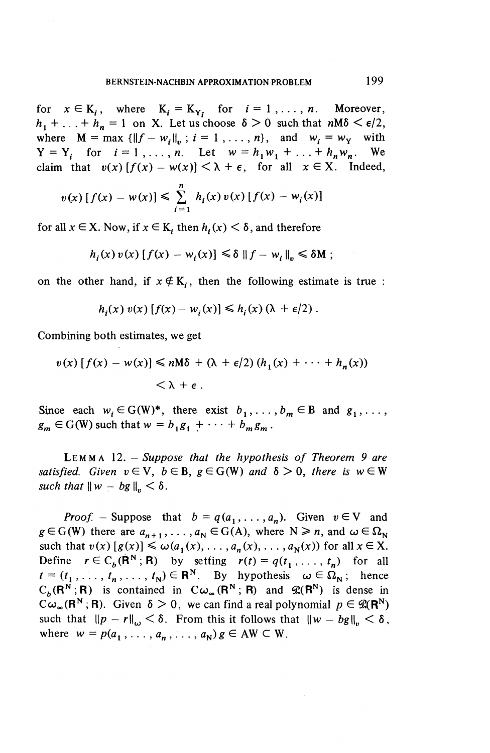for  $x \in K_i$ , where  $K_i = K_{Y_i}$  for  $i = 1, \ldots, n$ . Moreover,  $h_1 + \ldots + h_n = 1$  on X. Let us choose  $\delta > 0$  such that  $nM\delta \leq \epsilon/2$ , where  $M = \max \{||f - w_i||_v; i = 1, ..., n\}$ , and  $w_i = w_Y$  with  $Y = Y_i$  for  $i = 1, ..., n$ . Let  $w = h_1 w_1 + ... + h_n w_n$ . We claim that  $v(x) [f(x) - w(x)] < \lambda + \epsilon$ , for all  $x \in X$ . Indeed,  $Y = Y_i$  for  $i = 1, ..., n$ . Let  $w = h_1 w_1 + ... + h_n w_n$ . We

$$
v(x) [f(x) - w(x)] \leq \sum_{i=1}^{n} h_i(x) v(x) [f(x) - w_i(x)]
$$

for all  $x \in X$ . Now, if  $x \in K$ , then  $h_i(x) < \delta$ , and therefore

$$
h_i(x) v(x) [f(x) - w_i(x)] \le \delta ||f - w_i||_v \le \delta M ;
$$

on the other hand, if  $x \notin K$ ,, then the following estimate is true :

$$
h_i(x) v(x) [f(x) - w_i(x)] \leq h_i(x) (\lambda + \epsilon/2).
$$

Combining both estimates, we get

$$
v(x) [f(x) - w(x)] \le nM\delta + (\lambda + \epsilon/2) (h_1(x) + \cdots + h_n(x))
$$
  
<  $\lambda + \epsilon$ .

Since each  $w_i \in G(W)^*$ , there exist  $b_1, \ldots, b_m \in B$  and  $g_1, \ldots$ ,  $g_m \in G(W)$  such that  $w=b_1 g_1 + \cdots + b_m g_m$ .

LEMM A 12. *—Suppose that the hypothesis of Theorem 9 are satisfied.* Given  $v \in V$ ,  $b \in B$ ,  $g \in G(W)$  and  $\delta > 0$ , there is  $w \in W$ *such that*  $\|w - bg\|_{p} < \delta$ .

*Proof.* – Suppose that  $b = q(a_1, \ldots, a_n)$ . Given  $v \in V$  and  $g \in G(W)$  there are  $a_{n+1}$ , ...,  $a_N \in G(A)$ , where  $N \ge n$ , and  $\omega \in \Omega_N$ such that  $v(x)$  [ $g(x)$ ]  $\leq \omega(a_1(x), \ldots, a_n(x), \ldots, a_N(x))$  for all  $x \in X$ . Define  $r \in C_h(\mathbf{R}^N; \mathbf{R})$  by setting  $r(t) = q(t_1, \ldots, t_n)$  for all  $t = (t_1, \ldots, t_n, \ldots, t_N) \in \mathbb{R}^N$ . By hypothesis  $\omega \in \Omega_N$ ; hence  $C_b(R^N;R)$  is contained in  $C_{\omega_\infty}(R^N;R)$  and  $\mathscr{L}(R^N)$  is dense in  $C^{\omega}_{\omega_{\infty}}(R^N; R)$ . Given  $\delta > 0$ , we can find a real polynomial  $p \in \mathcal{R}(R^N)$ such that  $||p - r||_{\omega} < \delta$ . From this it follows that  $||w - bg||_{\omega} < \delta$ , where  $w = p(a_1, \ldots, a_n, \ldots, a_N)$  $g \in AW \subset W$ .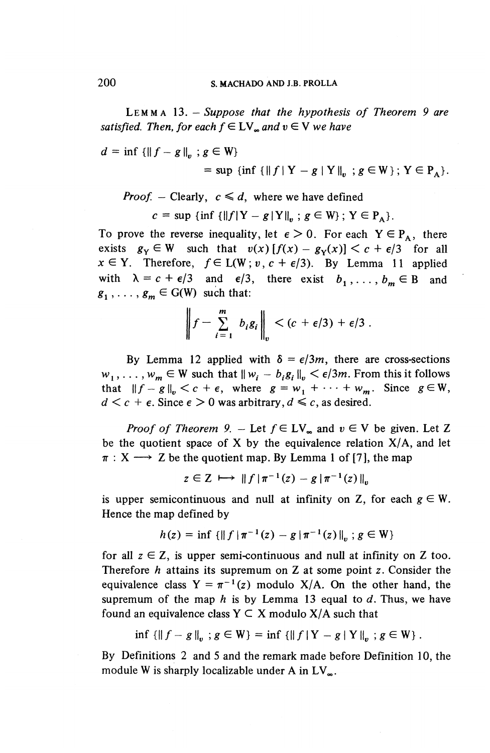LEMM A 13. *-Suppose that the hypothesis of Theorem 9 are satisfied. Then, for each*  $f \in LV$ *<sub><i>a*</sub> and  $v \in V$  we have

 $d=\inf{\{\|f-g\|_{n}}$ ;  $g\in W\}$ 

= sup {inf {||f|Y - g|Y||<sub>n</sub> ; 
$$
g \in W}
$$
};  $Y \in PA$  }.

*Proof.* – Clearly, 
$$
c \leq d
$$
, where we have defined

$$
c = \sup \{\inf \{||f| |Y - g| |Y||_p : g \in W\}; Y \in P_A\}.
$$

To prove the reverse inequality, let  $\epsilon > 0$ . For each  $Y \in P_{\alpha}$ , there exists  $g_Y \in W$  such that  $v(x) [f(x) - g_Y(x)] < c + \epsilon/3$  for all  $x \in Y$ . Therefore,  $f \in L(W; v, c + \epsilon/3)$ . By Lemma 11 applied with  $\lambda = c + \epsilon/3$  and  $\epsilon/3$ , there exist  $b_1, \ldots, b_m \in B$  and  $g_1, \ldots, g_m \in G(W)$  such that:

$$
\left\|f-\sum_{i=1}^m b_i g_i\right\|_v < (c+\epsilon/3)+\epsilon/3.
$$

By Lemma 12 applied with  $\delta = \epsilon/3m$ , there are cross-sections By Lemma 12 applied with  $\delta = \epsilon/3m$ , there are cross-section  $w_1, \ldots, w_m \in W$  such that  $|| w_i - b_i g_i ||_n < \epsilon/3m$ . From this it follows  $w_1, \ldots, w_m \in W$  such that  $||w_i - b_i g_i||_v < \epsilon/3m$ . From this it follow<br>that  $||f - g||_v < c + \epsilon$ , where  $g = w_1 + \cdots + w_m$ . Since  $g \in W$ that  $||f - g||_v < c + \epsilon$ , where  $g = w_1 + \cdots + w_m$ . Since  $g \in W$ ,  $d < c + \epsilon$ . Since  $\epsilon > 0$  was arbitrary,  $d \le c$ , as desired.

*Proof of Theorem 9.* – Let  $f \in LV_{\infty}$  and  $v \in V$  be given. Let Z be the quotient space of X by the equivalence relation  $X/A$ , and let the quotient space of X by the equivalence relation  $X$ ,<br>  $X \longrightarrow Z$  be the quotient map. By Lemma 1 of [7], the m<br>  $z \in Z \longmapsto ||f||\pi^{-1}(z) - g||\pi^{-1}(z)||_v$ 

$$
z \in Z \mapsto ||f| \pi^{-1}(z) - g |\pi^{-1}(z)|_{v}
$$

is upper semicontinuous and null at infinity on Z, for each  $g \in W$ . Hence the map defined by

$$
h(z) = \inf \{ \|f\| \pi^{-1}(z) - g \|\pi^{-1}(z)\|_{n} \; ; \, g \in W \}
$$

for all  $z \in \mathbb{Z}$ , is upper semi-continuous and null at infinity on Z too. Therefore *h* attains its supremum on Z at some point z. Consider the equivalence class  $Y = \pi^{-1}(z)$  modulo X/A. On the other hand, the supremum of the map *h* is by Lemma 13 equal to *d.* Thus, we have found an equivalence class  $Y \subset X$  modulo  $X/A$  such that

$$
\inf \{ \|f - g\|_{n} : g \in W \} = \inf \{ \|f| \mid Y - g \mid Y \mid_{n} : g \in W \}.
$$

By Definitions 2 and 5 and the remark made before Definition 10, the module W is sharply localizable under A in  $LV_{\infty}$ .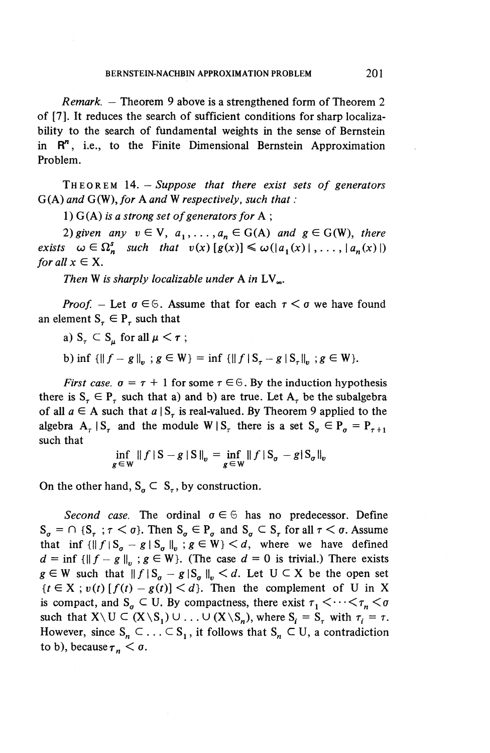*Remark. —* Theorem 9 above is a strengthened form of Theorem 2 of [7]. It reduces the search of sufficient conditions for sharp localizability to the search of fundamental weights in the sense of Bernstein in R<sup>n</sup>, i.e., to the Finite Dimensional Bernstein Approximation Problem.

THEORE M 14. — *Suppose that there exist sets of generators* G(A) *and* G(W), *for* A *and* W *respectively, such that :*

1) G(A) *is a strong set of generators for* A ;

2) given any  $v \in V$ ,  $a_1, \ldots, a_n \in G(A)$  and  $g \in G(W)$ , there *exists*  $\omega \in \Omega_n^s$  *such that*  $v(x) [g(x)] \leq \omega(|a_1(x)|, \ldots, |a_n(x)|)$ *for all*  $x \in X$ .

Then W is sharply localizable under A in  $LV_{\infty}$ .

*Proof.* – Let  $\sigma \in \mathcal{S}$ . Assume that for each  $\tau < \sigma$  we have found an element  $S_{\tau} \in P_{\tau}$  such that

- a)  $S_r \subset S_n$  for all  $\mu < r$ ;
- b) inf  $\{||f-g||_{n}; g \in W\}$  = inf  $\{||f|S_{\tau}-g|S_{\tau}||_{n}; g \in W\}.$

*First case.*  $\sigma = \tau + 1$  for some  $\tau \in \mathfrak{S}$ . By the induction hypothesis there is  $S^{\dagger}_{\tau} \in P^{\dagger}_{\tau}$  such that a) and b) are true. Let  $A^{\dagger}_{\tau}$  be the subalgebra of all  $a \in A$  such that  $a | S<sub>\tau</sub>$  is real-valued. By Theorem 9 applied to the algebra  $A_{\tau}$  |  $S_{\tau}$  and the module W |  $S_{\tau}$  there is a set  $S_{\tau} \in P_{\tau} = P_{\tau+1}$ such that

$$
\inf_{g \in \mathbf{W}} \|f\|S - g\|S\|_{v} = \inf_{g \in \mathbf{W}} \|f\|S_{\sigma} - g\|S_{\sigma}\|_{v}
$$

On the other hand,  $S_a \subset S_{\tau}$ , by construction.

*Second case.* The ordinal  $\sigma \in \mathcal{F}$  has no predecessor. Define  $S_{\sigma} = \bigcap_{\sigma \in S_{\tau}} S_{\tau} < \sigma$ . Then  $S_{\sigma} \in P_{\sigma}$  and  $S_{\sigma} \subset S_{\tau}$  for all  $\tau < \sigma$ . Assume that inf  $\{||f|S_{\sigma} - g | S_{\sigma}||_{v} ; g \in W\} < d$ , where we have defined  $d = \inf \{ ||f - g||_p : g \in W \}.$  (The case  $d = 0$  is trivial.) There exists  $g \in W$  such that  $|| f | S_q - g | S_q ||_p \le d$ . Let  $U \subset X$  be the open set  ${r \in X}$ ;  $v(t)$  [ $f(t) - g(t)$ ]  $\le d$ . Then the complement of U in X is compact, and  $S_a \subseteq U$ . By compactness, there exist  $\tau_1 \leq \cdots \leq \tau_n \leq \sigma$ such that  $X \setminus U \subset (X \setminus S_1) \cup ... \cup (X \setminus S_n)$ , where  $S_i = S_\tau$  with  $\tau_i = \tau$ . However, since  $S_n \subset \ldots \subset S_1$ , it follows that  $S_n \subset U$ , a contradiction to b), because  $\tau_n < \sigma$ .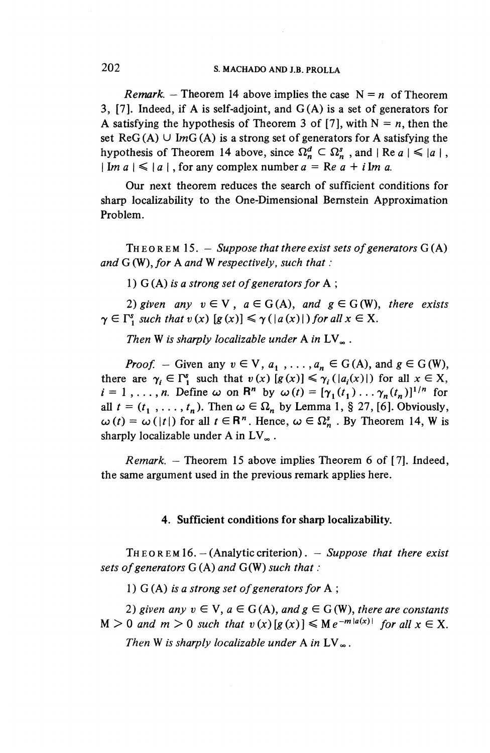# **202 S. MACHADO AND J.B. PROLLA**

*Remark.* – Theorem 14 above implies the case  $N = n$  of Theorem 3, [7]. Indeed, if A is self-adjoint, and  $G(A)$  is a set of generators for A satisfying the hypothesis of Theorem 3 of [7], with  $N = n$ , then the set  $\text{Re}G(A) \cup \text{Im}G(A)$  is a strong set of generators for A satisfying the hypothesis of Theorem 14 above, since  $\Omega_n^d \subset \Omega_n^s$ , and  $| \text{Re } a | \leq |a|$ ,  $\mid \text{Im } a \mid \leq \mid a \mid$ , for any complex number  $a = \text{Re } a + i \text{Im } a$ .

Our next theorem reduces the search of sufficient conditions for sharp localizability to the One-Dimensional Bernstein Approximation Problem.

THEOREM 15. — *Suppose that there exist sets of generators G* (A) *and* G (W), *for* A *and* W *respectively, such that :*

1) G (A) *is a strong set of generators for* A ;

2) given any  $v \in V$ ,  $a \in G(A)$ , and  $g \in G(W)$ , there exists  $\gamma \in \Gamma_1^s$  such that  $v(x)$   $[g(x)] \leq \gamma(\vert a(x) \vert)$  for all  $x \in X$ .

*Then* W *is sharply localizable under* A *in LV^ .*

*Proof.* – Given any  $v \in V$ ,  $a_1$ , ...,  $a_n \in G(A)$ , and  $g \in G(W)$ , there are  $\gamma_i \in \Gamma_1^s$  such that  $v(x)$   $[g(x)] \leq \gamma_i (|a_i(x)|)$  for all  $x \in X$ ,  $i = 1, \ldots, n$ . Define  $\omega$  on  $\mathbb{R}^n$  by  $\omega(t) = [\gamma_1(t_1) \ldots \gamma_n(t_n)]^{1/n}$  for  $i = 1, ..., n$ . Define  $\omega$  on  $\mathbb{R}^n$  by  $\omega(t) = [\gamma_1(t_1) \dots \gamma_n(t_n)]^{1/n}$  for all  $t = (t_1, ..., t_n)$ . Then  $\omega \in \Omega_n$  by Lemma 1, § 27, [6]. Obviously, all  $t = (t_1, \ldots, t_n)$ . Then  $\omega \in \Omega_n$  by Lemma 1, § 27, [6]. Obviously,  $\omega(t) = \omega(|t|)$  for all  $t \in \mathbb{R}^n$ . Hence,  $\omega \in \Omega_n^s$ . By Theorem 14, W is sharply localizable under A in  $LV_{\infty}$ .

*Remark. —* Theorem 15 above implies Theorem 6 of [7]. Indeed, the same argument used in the previous remark applies here.

#### **4. Sufficient conditions for sharp localizability.**

THEOREM16.— (Analytic criterion). - *Suppose that there exist sets of generators G* (A) *and* G(W) *such that :*

1) G (A) *is a strong set of generators for* A ;

2) given any  $v \in V$ ,  $a \in G(A)$ , and  $g \in G(W)$ , there are constants  $M > 0$  and  $m > 0$  such that  $v(x) [g(x)] \leq M e^{-m|a(x)|}$  for all  $x \in X$ . *Then* W is sharply localizable under A in  $LV_{\infty}$ .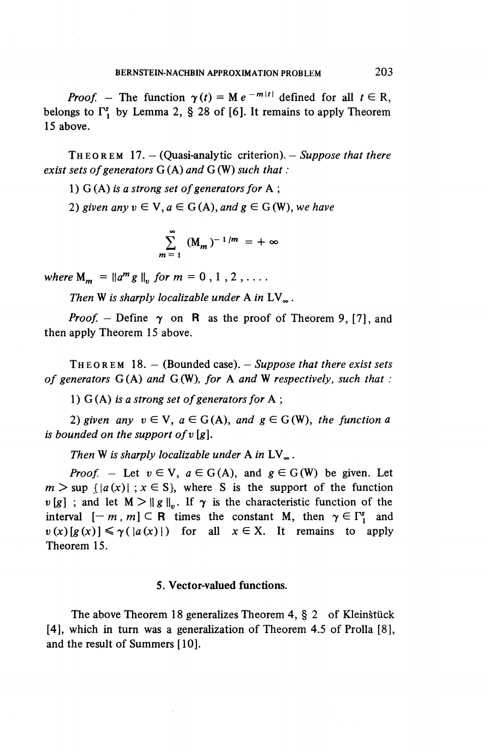*Proof.* – The function  $\gamma(t) = M e^{-m|t|}$  defined for all  $t \in R$ , belongs to  $\Gamma^s$ , by Lemma 2, § 28 of [6]. It remains to apply Theorem 15 above.

THEORE M 17.— (Quasi-analytic criterion). — *Suppose that there exist sets of generators G* (A) *and* G (W) *such that:*

1) G (A) *is a strong set of generators for* A ;

2) given any  $v \in V$ ,  $a \in G(A)$ , and  $g \in G(W)$ , we have

$$
\sum_{m=1}^{\infty} (M_m)^{-1/m} = +\infty
$$

 $m = 1$ <br>where  $M_m = \|a^m g \|_p$  for  $m = 0, 1, 2, ...$ 

*Then* W is sharply localizable under A in  $LV_{\infty}$ .

*Proof.* – Define  $\gamma$  on **R** as the proof of Theorem 9, [7], and then apply Theorem 15 above.

THEORE M 18.— (Bounded case). — *Suppose that there exist sets of generators* G (A) *and* G (W), *for* A *and* W *respectively, such that :*

1) G (A) *is a strong set of generators for* A ;

2) given any  $v \in V$ ,  $a \in G(A)$ , and  $g \in G(W)$ , the function a *is bounded on the support ofv [g].*

*Then* W is sharply localizable under A in  $LV_{\infty}$ .

*Proof.* – Let  $v \in V$ ,  $a \in G(A)$ , and  $g \in G(W)$  be given. Let  $m > \sup \{ |a(x)| ; x \in S \}$ , where S is the support of the function  $\nu[g]$ ; and let  $M > ||g||$ . If  $\gamma$  is the characteristic function of the interval  $[-m, m] \subset \mathbb{R}$  times the constant M, then  $\gamma \in \Gamma_1^s$  and  $v(x) [g(x)] \le \gamma (|a(x)|)$  for all  $x \in X$ . It remains to apply Theorem 15.

#### **5. Vector-valued functions.**

The above Theorem 18 generalizes Theorem 4,  $\S$  2 of Kleinstück  $[4]$ , which in turn was a generalization of Theorem 4.5 of Prolla  $[8]$ , and the result of Summers [10].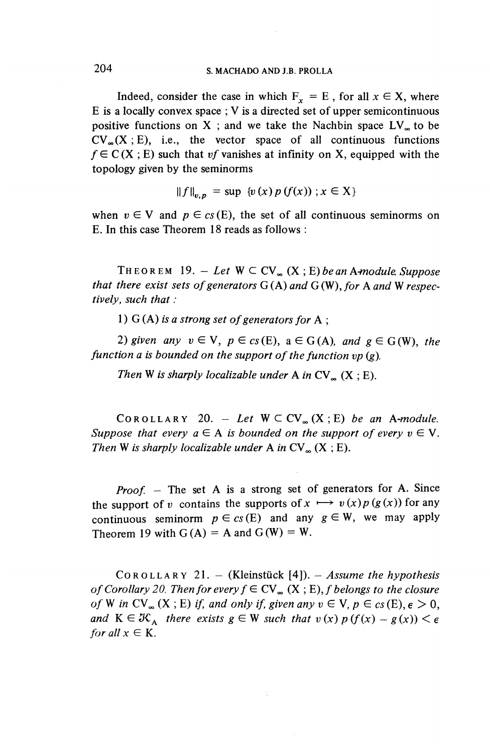### 204 s. MACHADO AND J.B. PROLLA

Indeed, consider the case in which  $F^* = E$ , for all  $x \in X$ , where E is a locally convex space ; V is a directed set of upper semicontinuous positive functions on X; and we take the Nachbin space  $LV<sub>\infty</sub>$  to be  $CV_{\infty}(X; E)$ , i.e., the vector space of all continuous functions  $f \in C(X; E)$  such that *vf* vanishes at infinity on X, equipped with the topology given by the seminorms

$$
||f||_{v,p} = \sup \{v(x) p(f(x)) ; x \in X\}
$$

when  $v \in V$  and  $p \in cs(E)$ , the set of all continuous seminorms on E. In this case Theorem 18 reads as follows :

THEOREM 19. - Let  $W \subset CV_{\infty}(X; E)$  be an A-module. Suppose *that there exist sets of generators G* (A) *and G* (W), *for* A *and* W *respectively, such that :*

1) G (A) *is a strong set of generators for* A ;

2) given any  $v \in V$ ,  $p \in cs(E)$ ,  $a \in G(A)$ , and  $g \in G(W)$ , the *function a is bounded on the support of the function vp (g).*

*Then* W is sharply localizable under A in  $CV_{\infty}$  (X ; E).

 $COROLLARY 20. - Let W \subset CV_{\infty}(X;E)$  *be an A-module. Suppose that every*  $a \in A$  *is bounded on the support of every*  $v \in V$ *. Then* W is sharply localizable under A in  $CV_{\infty}$  (X ; E).

*Proof. -* The set A is a strong set of generators for A. Since the support of *v* contains the supports of  $x \mapsto v(x)p(g(x))$  for any continuous seminorm  $p \in cs(E)$  and any  $g \in W$ , we may apply Theorem 19 with  $G(A) = A$  and  $G(W) = W$ .

COROLLAR Y 21. — (Kleinstuck [4]). — *Assume the hypothesis of Corollary 20. Then for every*  $f \in CV_{\infty} (X ; E)$ *, f belongs to the closure of* W in CV<sub>∞</sub> (X; E) if, and only if, given any  $v \in V$ ,  $p \in c_s(E)$ ,  $\epsilon > 0$ , *and*  $K \in \mathcal{K}_{A}$  *there exists*  $g \in W$  *such that*  $v(x)$   $p(f(x) - g(x)) < \epsilon$ *for all*  $x \in K$ .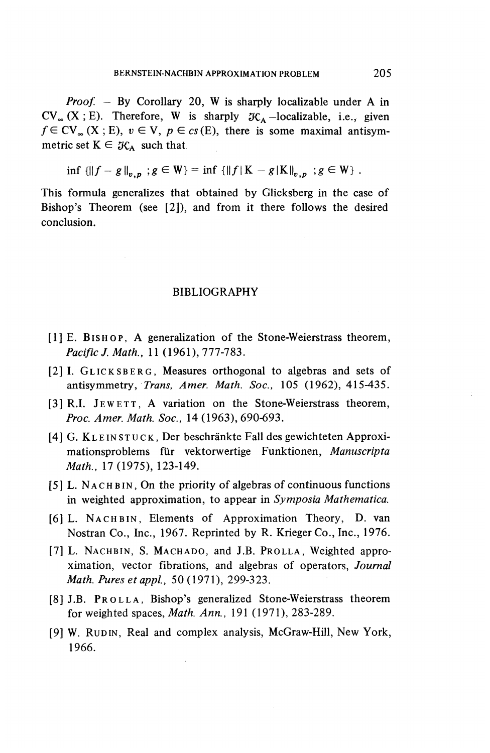*Proof. —* By Corollary 20, W is sharply localizable under A in  $CV_{\infty}$  (X ; E). Therefore, W is sharply  $K_A$ -localizable, i.e., given  $f \in CV_{\infty} (X ; E), v \in V, p \in cs(E)$ , there is some maximal antisymmetric set  $K \in \mathcal{K}_A$  such that

inf  ${||f - g||}_{p,n}$ ;  $g \in W$ } = inf  ${||f|K - g|K||}_{p,n}$ ;  $g \in W$  .

This formula generalizes that obtained by Glicksberg in the case of Bishop's Theorem (see [2]), and from it there follows the desired conclusion.

#### BIBLIOGRAPHY

- [1] E. BISHOP, A generalization of the Stone-Weierstrass theorem, *Pacific}. Math.,* 11 (1961), 777-783.
- [2] I. GLICKSBERG , Measures orthogonal to algebras and sets of antisymmetry, *Trans, Amer. Math. Soc.,* 105 (1962), 415-435.
- [3] R.I. JEWETT, A variation on the Stone-Weierstrass theorem, *Proc. Amer. Math. Soc.,* 14 (1963), 690-693.
- [4] G. KLEINSTUCK, Der beschränkte Fall des gewichteten Approximationsproblems fur vektorwertige Funktionen, *Manuscripta Math.,* 17(1975), 123-149.
- [5] L. NACHBIN, On the priority of algebras of continuous functions in weighted approximation, to appear in *Symposia Mathematica.*
- [6] L. NACHBIN, Elements of Approximation Theory, D. van Nostran Co., Inc., 1967. Reprinted by R. Krieger Co., Inc., 1976.
- [7] L. NACHBIN, S. MACHADO, and J.B. PROLLA, Weighted approximation, vector fibrations, and algebras of operators, *Journal Math. Puresetappl.,* 50(1971), 299-323.
- [8] J.B. PROLLA , Bishop's generalized Stone-Weierstrass theorem for weighted spaces, *Math. Ann.,* 191 (1971), 283-289.
- [9] W. RUDIN, Real and complex analysis, McGraw-Hill, New York, 1966.